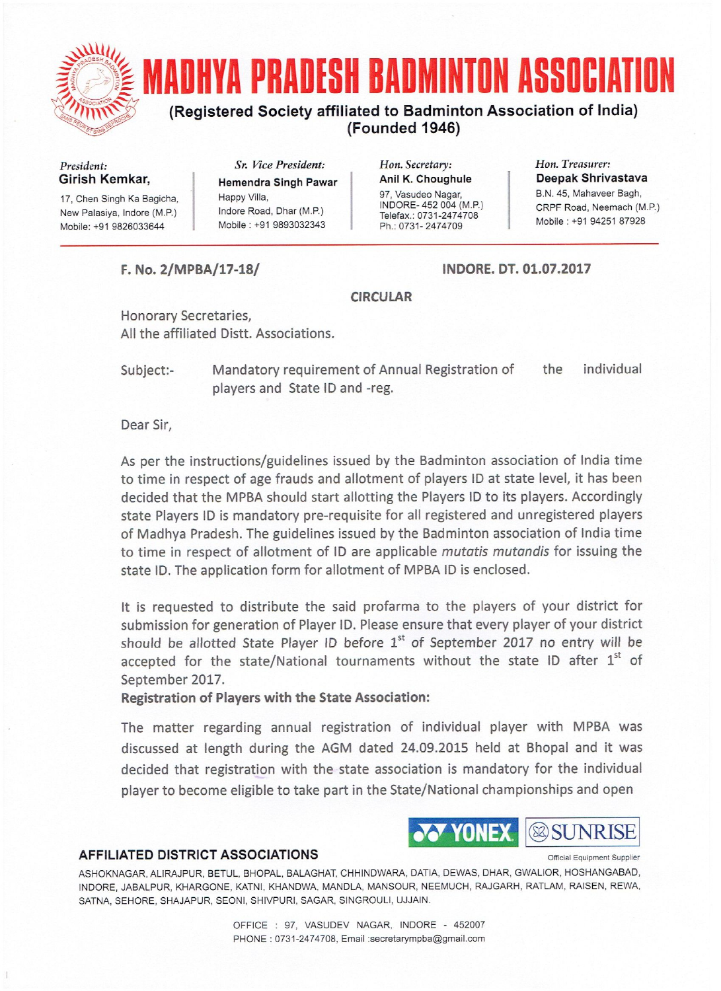

President: Girish Kemkar,

17, Chen Singh Ka Bagicha, New Palasiya, Indore (M.P.) Mobile: +91 9826033644

Sr. Vice President: **Hemendra Singh Pawar** Happy Villa, Indore Road, Dhar (M.P.) Mobile: +91 9893032343

Hon. Secretary: Anil K. Choughule 97, Vasudeo Nagar, INDORE-452 004 (M.P.) Telefax.: 0731-2474708 Ph.: 0731-2474709

Hon. Treasurer: Deepak Shrivastava B.N. 45, Mahaveer Bagh, CRPF Road, Neemach (M.P.) Mobile: +91 94251 87928

F. No. 2/MPBA/17-18/

INDORE, DT. 01.07.2017

#### **CIRCULAR**

Honorary Secretaries, All the affiliated Distt. Associations.

Mandatory requirement of Annual Registration of individual the Subject:players and State ID and -reg.

Dear Sir,

As per the instructions/guidelines issued by the Badminton association of India time to time in respect of age frauds and allotment of players ID at state level, it has been decided that the MPBA should start allotting the Players ID to its players. Accordingly state Players ID is mandatory pre-requisite for all registered and unregistered players of Madhya Pradesh. The guidelines issued by the Badminton association of India time to time in respect of allotment of ID are applicable mutatis mutandis for issuing the state ID. The application form for allotment of MPBA ID is enclosed.

It is requested to distribute the said profarma to the players of your district for submission for generation of Player ID. Please ensure that every player of your district should be allotted State Player ID before 1<sup>st</sup> of September 2017 no entry will be accepted for the state/National tournaments without the state ID after 1st of September 2017.

**Registration of Players with the State Association:** 

The matter regarding annual registration of individual player with MPBA was discussed at length during the AGM dated 24.09.2015 held at Bhopal and it was decided that registration with the state association is mandatory for the individual player to become eligible to take part in the State/National championships and open

YONE)

**& SUNRISE** 

Official Equipment Supplier

#### **AFFILIATED DISTRICT ASSOCIATIONS**

ASHOKNAGAR, ALIRAJPUR, BETUL, BHOPAL, BALAGHAT, CHHINDWARA, DATIA, DEWAS, DHAR, GWALIOR, HOSHANGABAD, INDORE, JABALPUR, KHARGONE, KATNI, KHANDWA, MANDLA, MANSOUR, NEEMUCH, RAJGARH, RATLAM, RAISEN, REWA, SATNA, SEHORE, SHAJAPUR, SEONI, SHIVPURI, SAGAR, SINGROULI, UJJAIN.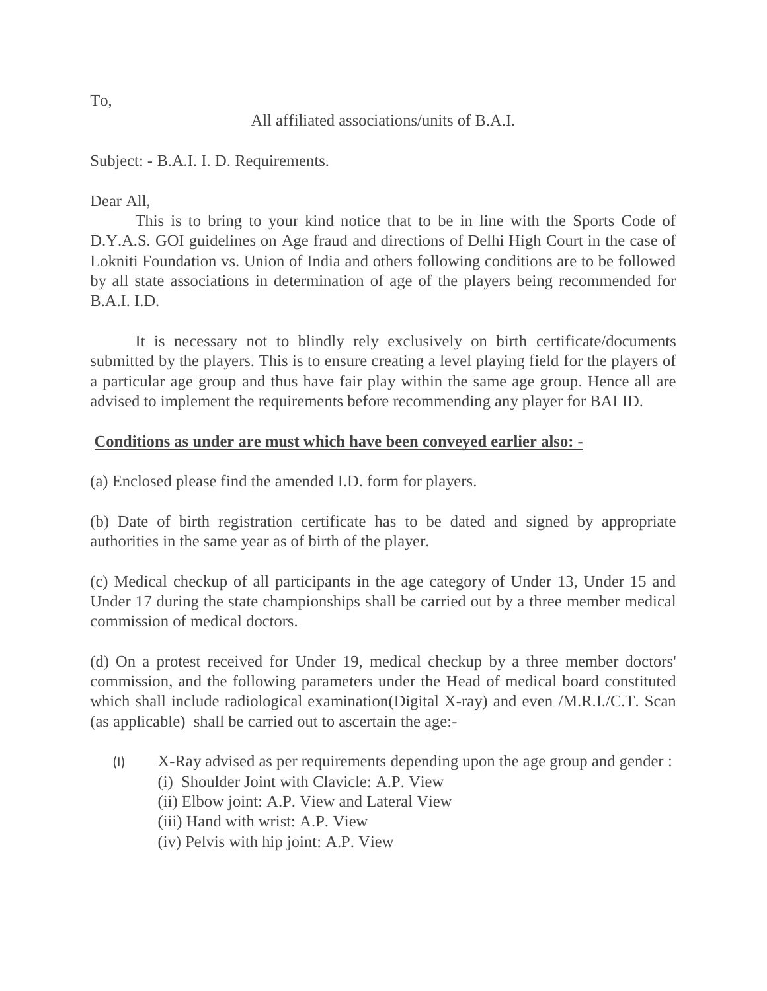Subject: - B.A.I. I. D. Requirements.

# Dear All,

This is to bring to your kind notice that to be in line with the Sports Code of D.Y.A.S. GOI guidelines on Age fraud and directions of Delhi High Court in the case of Lokniti Foundation vs. Union of India and others following conditions are to be followed by all state associations in determination of age of the players being recommended for B.A.I. I.D.

It is necessary not to blindly rely exclusively on birth certificate/documents submitted by the players. This is to ensure creating a level playing field for the players of a particular age group and thus have fair play within the same age group. Hence all are advised to implement the requirements before recommending any player for BAI ID.

### **Conditions as under are must which have been conveyed earlier also: -**

(a) Enclosed please find the amended I.D. form for players.

(b) Date of birth registration certificate has to be dated and signed by appropriate authorities in the same year as of birth of the player.

(c) Medical checkup of all participants in the age category of Under 13, Under 15 and Under 17 during the state championships shall be carried out by a three member medical commission of medical doctors.

(d) On a protest received for Under 19, medical checkup by a three member doctors' commission, and the following parameters under the Head of medical board constituted which shall include radiological examination(Digital X-ray) and even /M.R.I./C.T. Scan (as applicable) shall be carried out to ascertain the age:-

- (I) X-Ray advised as per requirements depending upon the age group and gender :
	- (i) Shoulder Joint with Clavicle: A.P. View
	- (ii) Elbow joint: A.P. View and Lateral View
	- (iii) Hand with wrist: A.P. View
	- (iv) Pelvis with hip joint: A.P. View

To,